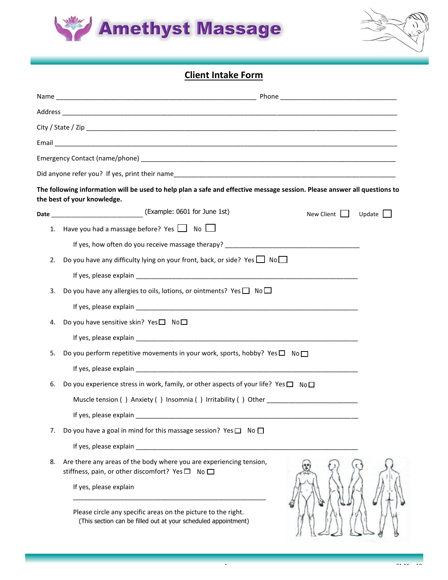



## **Client Intake Form**

|    | The following information will be used to help plan a safe and effective message session. Please answer all questions to<br>the best of your knowledge. |               |
|----|---------------------------------------------------------------------------------------------------------------------------------------------------------|---------------|
|    | New Client                                                                                                                                              | Update $\Box$ |
| 1. | Have you had a massage before? Yes $\Box$ No $\Box$                                                                                                     |               |
|    |                                                                                                                                                         |               |
| 2. | Do you have any difficulty lying on your front, back, or side? Yes $\Box$ No $\Box$                                                                     |               |
|    |                                                                                                                                                         |               |
| 3. | Do you have any allergies to oils, lotions, or ointments? Yes $\square$ No $\square$                                                                    |               |
|    |                                                                                                                                                         |               |
| 4. | Do you have sensitive skin? Yes $\square$ No $\square$                                                                                                  |               |
|    |                                                                                                                                                         |               |
| 5. | Do you perform repetitive movements in your work, sports, hobby? Yes $\square$ No $\square$                                                             |               |
|    |                                                                                                                                                         |               |
| 6. | Do you experience stress in work, family, or other aspects of your life? Yes $\square$ No $\square$                                                     |               |
|    | Muscle tension () Anxiety () Insomnia () Irritability () Other                                                                                          |               |
|    | If yes, please explain                                                                                                                                  |               |
| 7. | Do you have a goal in mind for this massage session? Yes $\square$ No $\square$                                                                         |               |
|    |                                                                                                                                                         |               |
| 8. | Are there any areas of the body where you are experiencing tension,<br>stiffness, pain, or other discomfort? Yes□ No□                                   |               |
|    | If yes, please explain                                                                                                                                  |               |
|    | Please circle any specific areas on the picture to the right.<br>(This section can be filled out at your scheduled appointment)                         |               |

1 21-May 2012 12:20 August 2013 12:20 August 2014 12:20 August 2014 12:20 August 2014 12:20 August 2014 12:20<br>19 November 2014 12:20 August 2014 12:20 August 2014 12:20 August 2014 12:20 August 2014 12:20 August 2014 12: